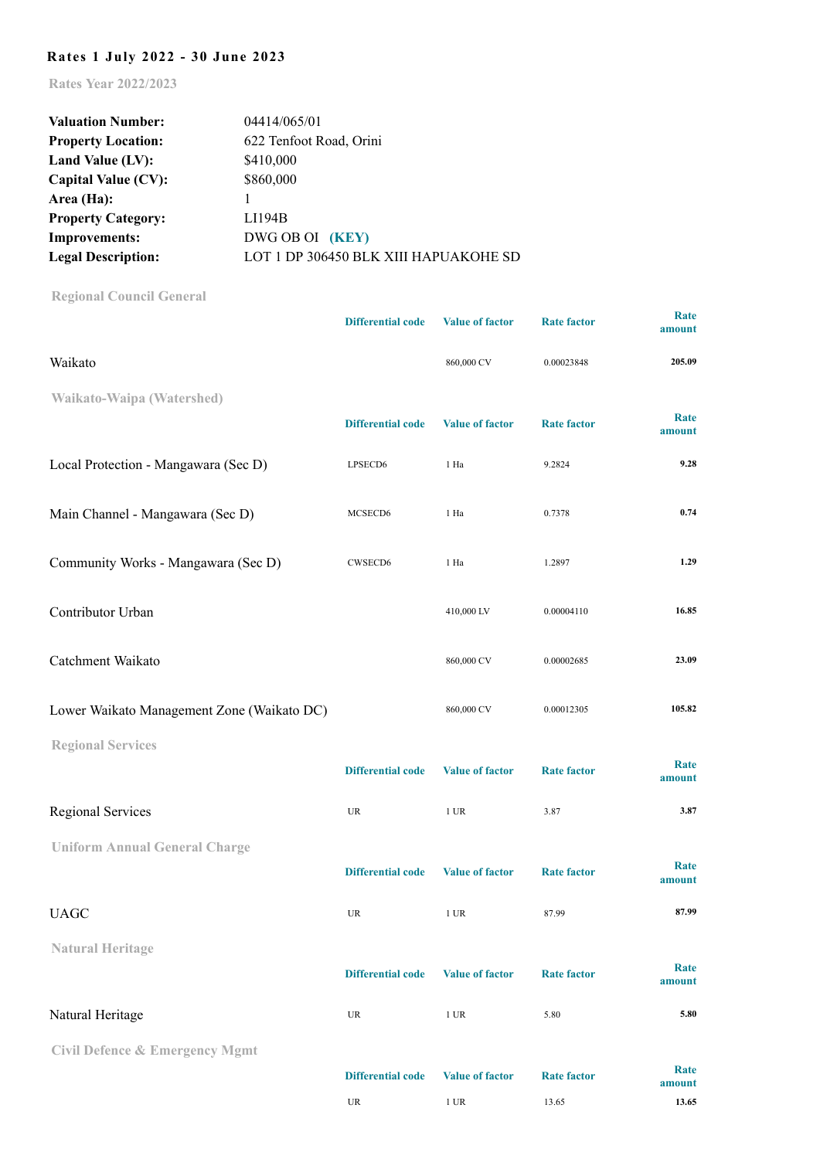## **Rates 1 July 2022 - 30 June 2023**

**Rates Year 2022/2023**

| <b>Valuation Number:</b>  | 04414/065/01                          |  |  |  |  |
|---------------------------|---------------------------------------|--|--|--|--|
| <b>Property Location:</b> | 622 Tenfoot Road, Orini               |  |  |  |  |
| Land Value (LV):          | \$410,000                             |  |  |  |  |
| Capital Value (CV):       | \$860,000                             |  |  |  |  |
| Area (Ha):                |                                       |  |  |  |  |
| <b>Property Category:</b> | LI194B                                |  |  |  |  |
| <b>Improvements:</b>      | DWG OB OI (KEY)                       |  |  |  |  |
| <b>Legal Description:</b> | LOT 1 DP 306450 BLK XIII HAPUAKOHE SD |  |  |  |  |

**[Regional Council General](http://www.waikatoregion.govt.nz/Council/Rates/Frequently-asked-questions/#Heading12)**

|                                            | <b>Differential code</b>          | <b>Value of factor</b> | <b>Rate factor</b> | <b>Rate</b><br>amount |
|--------------------------------------------|-----------------------------------|------------------------|--------------------|-----------------------|
| Waikato                                    |                                   | 860,000 CV             | 0.00023848         | 205.09                |
| Waikato-Waipa (Watershed)                  |                                   |                        |                    |                       |
|                                            | <b>Differential code</b>          | <b>Value of factor</b> | <b>Rate factor</b> | Rate<br>amount        |
| Local Protection - Mangawara (Sec D)       | LPSECD6                           | 1 Ha                   | 9.2824             | 9.28                  |
| Main Channel - Mangawara (Sec D)           | MCSECD6                           | 1 Ha                   | 0.7378             | 0.74                  |
| Community Works - Mangawara (Sec D)        | CWSECD6                           | 1 Ha                   | 1.2897             | 1.29                  |
| Contributor Urban                          |                                   | 410,000 LV             | 0.00004110         | 16.85                 |
| Catchment Waikato                          |                                   | 860,000 CV             | 0.00002685         | 23.09                 |
| Lower Waikato Management Zone (Waikato DC) |                                   | 860,000 CV             | 0.00012305         | 105.82                |
| <b>Regional Services</b>                   |                                   |                        |                    |                       |
|                                            | <b>Differential code</b>          | <b>Value of factor</b> | <b>Rate factor</b> | Rate<br>amount        |
| Regional Services                          | UR                                | $1$ UR                 | 3.87               | 3.87                  |
| <b>Uniform Annual General Charge</b>       |                                   |                        |                    |                       |
|                                            | <b>Differential code</b>          | <b>Value of factor</b> | <b>Rate factor</b> | Rate<br>amount        |
| <b>UAGC</b>                                | UR                                | $1$ UR                 | 87.99              | 87.99                 |
| <b>Natural Heritage</b>                    |                                   |                        |                    |                       |
|                                            | <b>Differential code</b>          | <b>Value of factor</b> | <b>Rate factor</b> | Rate<br>amount        |
| Natural Heritage                           | $_{\rm UR}$                       | $1$ UR                 | 5.80               | 5.80                  |
| <b>Civil Defence &amp; Emergency Mgmt</b>  |                                   |                        |                    |                       |
|                                            | <b>Differential code</b>          | <b>Value of factor</b> | <b>Rate factor</b> | Rate<br>amount        |
|                                            | $\ensuremath{\mathsf{UR}}\xspace$ | $1~\mathrm{UR}$        | 13.65              | 13.65                 |